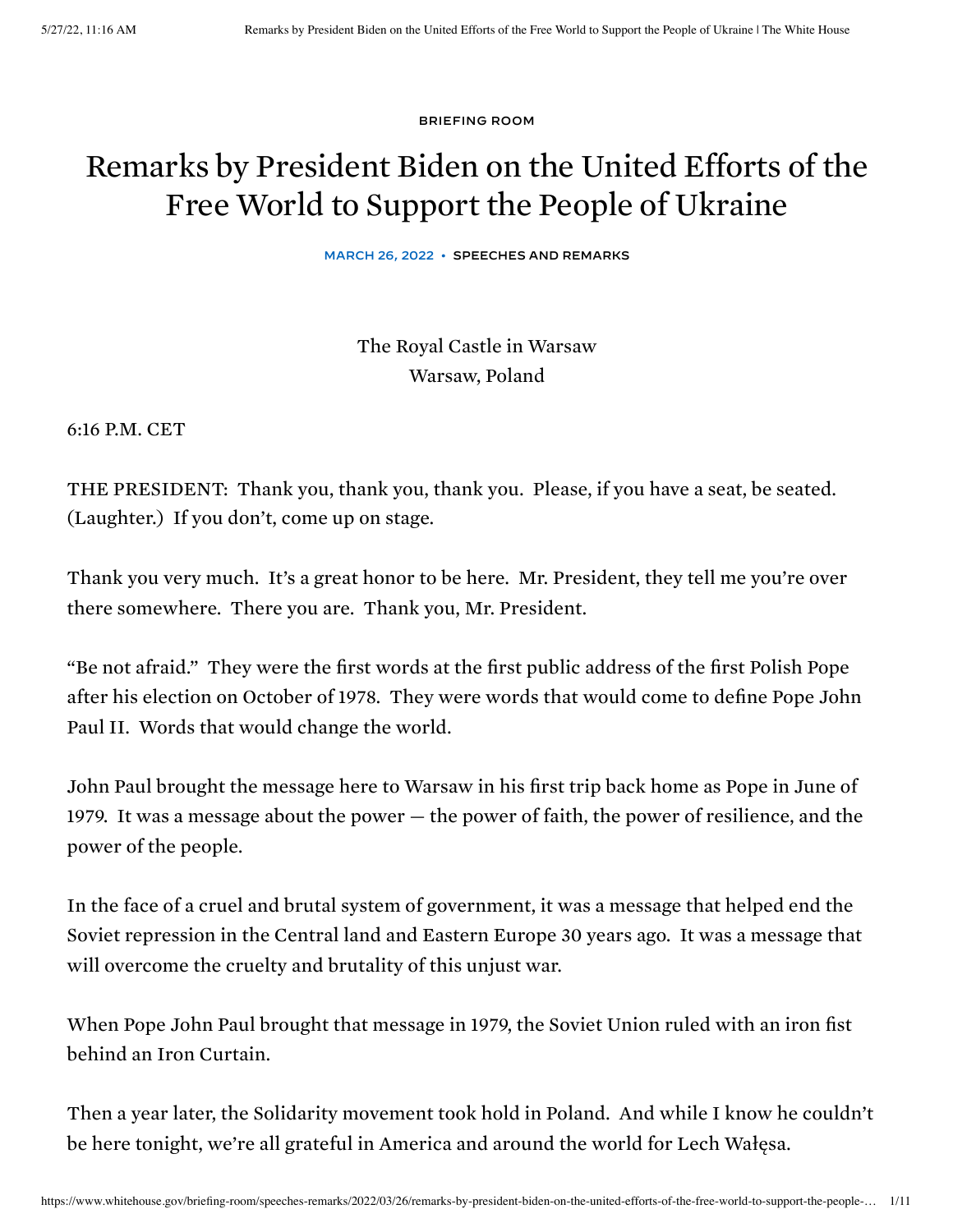[BRIEFING](https://www.whitehouse.gov/briefing-room/) ROOM

## Remarks by President Biden on the United Efforts of the Free World to Support the People of Ukraine

MARCH 26, 2022 • [SPEECHES](https://www.whitehouse.gov/briefing-room/speeches-remarks/) AND REMARKS

The Royal Castle in Warsaw Warsaw, Poland

6:16 P.M. CET

THE PRESIDENT: Thank you, thank you, thank you. Please, if you have a seat, be seated. (Laughter.) If you don't, come up on stage.

Thank you very much. It's a great honor to be here. Mr. President, they tell me you're over there somewhere. There you are. Thank you, Mr. President.

"Be not afraid." They were the first words at the first public address of the first Polish Pope after his election on October of 1978. They were words that would come to define Pope John Paul II. Words that would change the world.

John Paul brought the message here to Warsaw in his first trip back home as Pope in June of 1979. It was a message about the power — the power of faith, the power of resilience, and the power of the people.

In the face of a cruel and brutal system of government, it was a message that helped end the Soviet repression in the Central land and Eastern Europe 30 years ago. It was a message that will overcome the cruelty and brutality of this unjust war.

When Pope John Paul brought that message in 1979, the Soviet Union ruled with an iron fist behind an Iron Curtain.

Then a year later, the Solidarity movement took hold in Poland. And while I know he couldn't be here tonight, we're all grateful in America and around the world for Lech Wałęsa.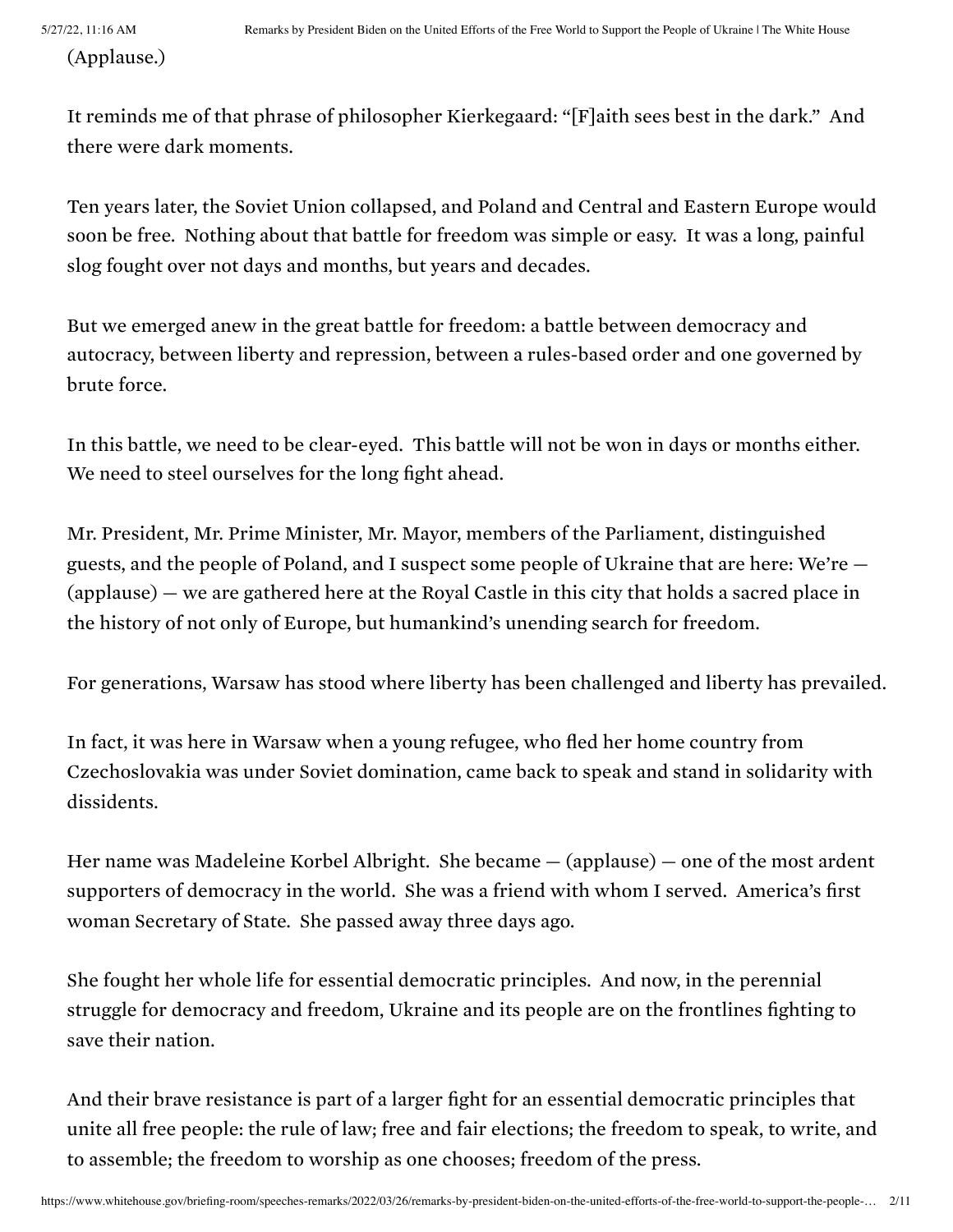(Applause.)

It reminds me of that phrase of philosopher Kierkegaard: "[F]aith sees best in the dark." And there were dark moments.

Ten years later, the Soviet Union collapsed, and Poland and Central and Eastern Europe would soon be free. Nothing about that battle for freedom was simple or easy. It was a long, painful slog fought over not days and months, but years and decades.

But we emerged anew in the great battle for freedom: a battle between democracy and autocracy, between liberty and repression, between a rules-based order and one governed by brute force.

In this battle, we need to be clear-eyed. This battle will not be won in days or months either. We need to steel ourselves for the long fight ahead.

Mr. President, Mr. Prime Minister, Mr. Mayor, members of the Parliament, distinguished guests, and the people of Poland, and I suspect some people of Ukraine that are here: We're — (applause) — we are gathered here at the Royal Castle in this city that holds a sacred place in the history of not only of Europe, but humankind's unending search for freedom.

For generations, Warsaw has stood where liberty has been challenged and liberty has prevailed.

In fact, it was here in Warsaw when a young refugee, who fled her home country from Czechoslovakia was under Soviet domination, came back to speak and stand in solidarity with dissidents.

Her name was Madeleine Korbel Albright. She became — (applause) — one of the most ardent supporters of democracy in the world. She was a friend with whom I served. America's first woman Secretary of State. She passed away three days ago.

She fought her whole life for essential democratic principles. And now, in the perennial struggle for democracy and freedom, Ukraine and its people are on the frontlines fighting to save their nation.

And their brave resistance is part of a larger fight for an essential democratic principles that unite all free people: the rule of law; free and fair elections; the freedom to speak, to write, and to assemble; the freedom to worship as one chooses; freedom of the press.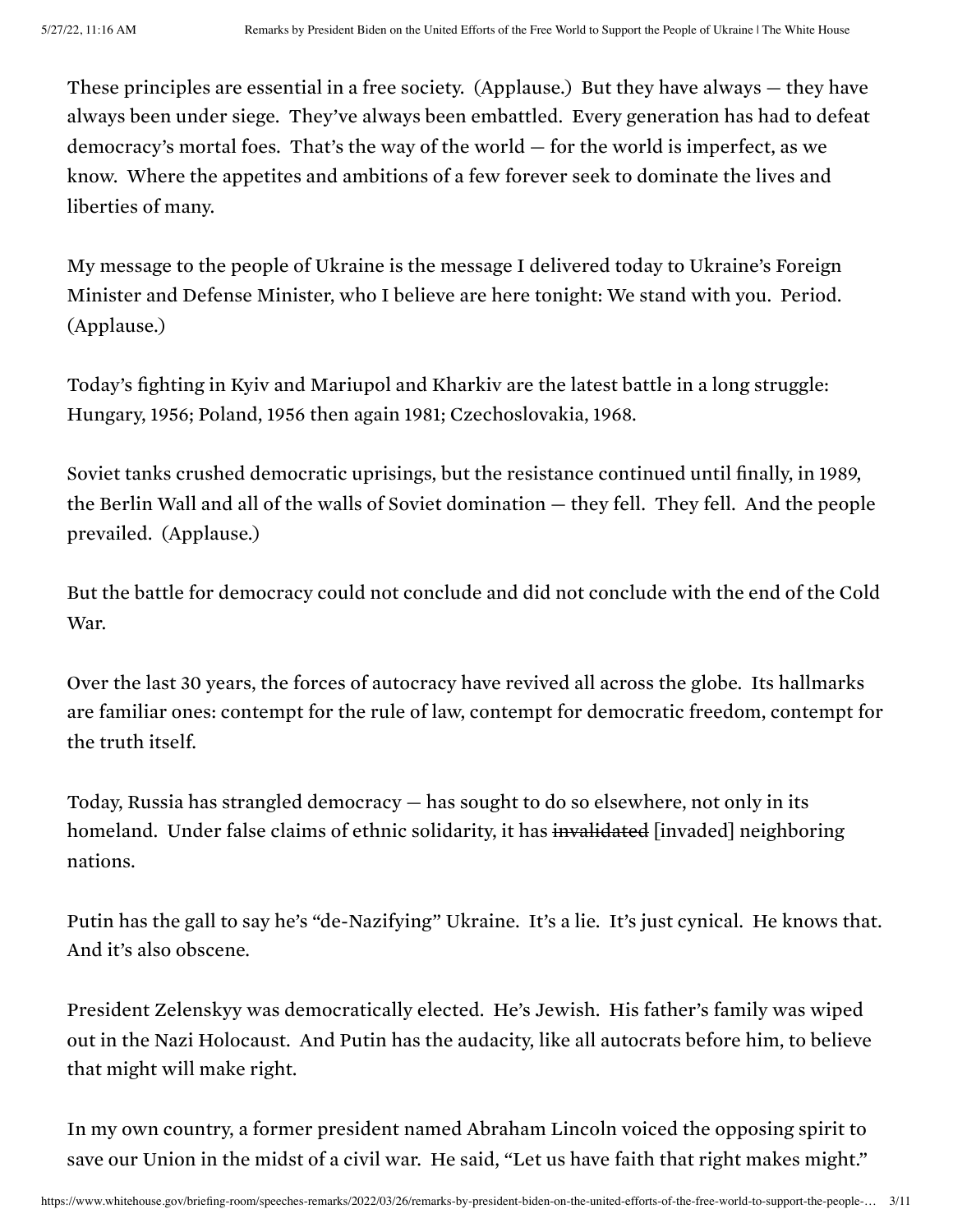These principles are essential in a free society. (Applause.) But they have always — they have always been under siege. They've always been embattled. Every generation has had to defeat democracy's mortal foes. That's the way of the world — for the world is imperfect, as we know. Where the appetites and ambitions of a few forever seek to dominate the lives and liberties of many.

My message to the people of Ukraine is the message I delivered today to Ukraine's Foreign Minister and Defense Minister, who I believe are here tonight: We stand with you. Period. (Applause.)

Today's fighting in Kyiv and Mariupol and Kharkiv are the latest battle in a long struggle: Hungary, 1956; Poland, 1956 then again 1981; Czechoslovakia, 1968.

Soviet tanks crushed democratic uprisings, but the resistance continued until finally, in 1989, the Berlin Wall and all of the walls of Soviet domination — they fell. They fell. And the people prevailed. (Applause.)

But the battle for democracy could not conclude and did not conclude with the end of the Cold War.

Over the last 30 years, the forces of autocracy have revived all across the globe. Its hallmarks are familiar ones: contempt for the rule of law, contempt for democratic freedom, contempt for the truth itself.

Today, Russia has strangled democracy — has sought to do so elsewhere, not only in its homeland. Under false claims of ethnic solidarity, it has invalidated [invaded] neighboring nations.

Putin has the gall to say he's "de-Nazifying" Ukraine. It's a lie. It's just cynical. He knows that. And it's also obscene.

President Zelenskyy was democratically elected. He's Jewish. His father's family was wiped out in the Nazi Holocaust. And Putin has the audacity, like all autocrats before him, to believe that might will make right.

In my own country, a former president named Abraham Lincoln voiced the opposing spirit to save our Union in the midst of a civil war. He said, "Let us have faith that right makes might."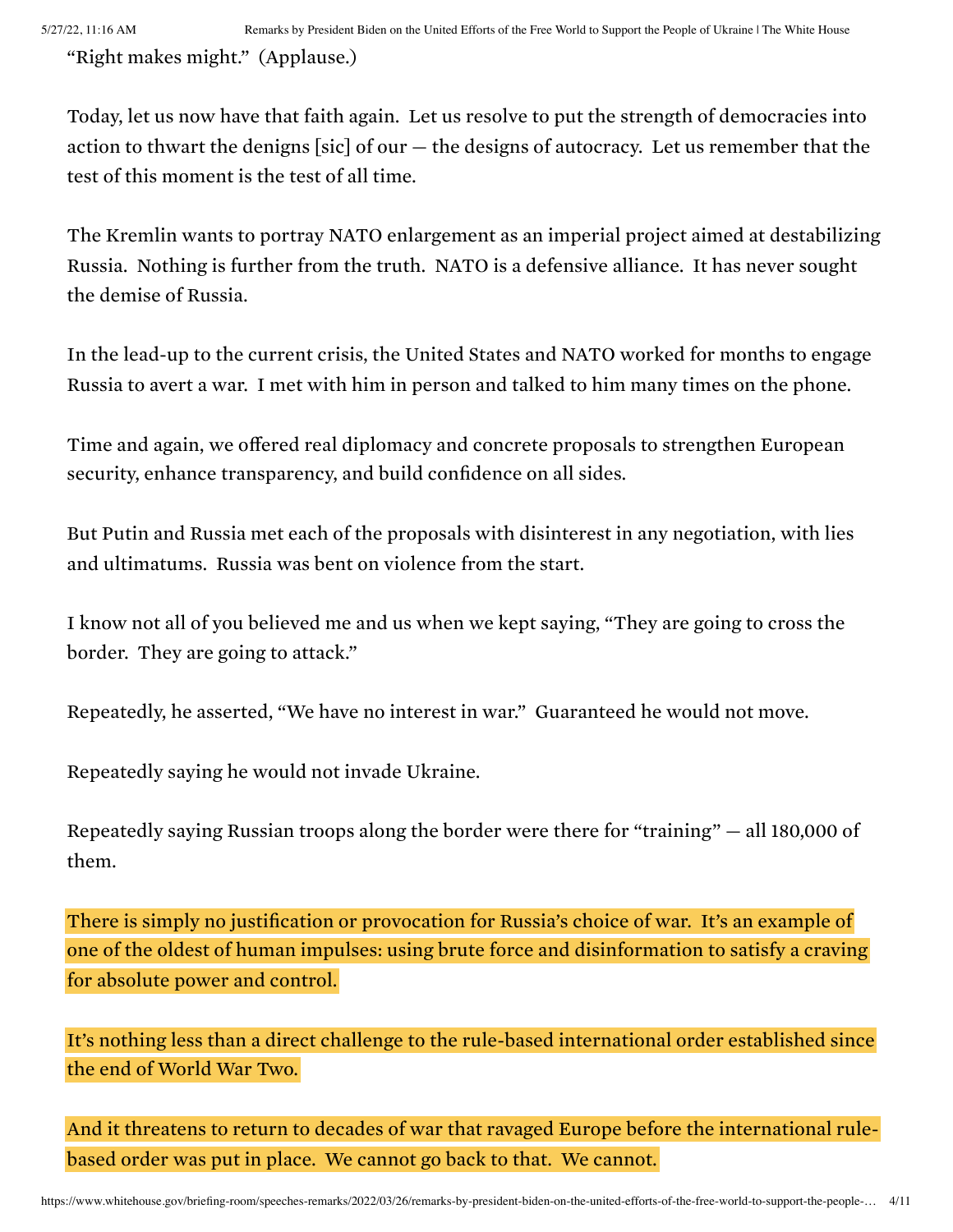"Right makes might." (Applause.)

Today, let us now have that faith again. Let us resolve to put the strength of democracies into action to thwart the denigns [sic] of our — the designs of autocracy. Let us remember that the test of this moment is the test of all time.

The Kremlin wants to portray NATO enlargement as an imperial project aimed at destabilizing Russia. Nothing is further from the truth. NATO is a defensive alliance. It has never sought the demise of Russia.

In the lead-up to the current crisis, the United States and NATO worked for months to engage Russia to avert a war. I met with him in person and talked to him many times on the phone.

Time and again, we offered real diplomacy and concrete proposals to strengthen European security, enhance transparency, and build confidence on all sides.

But Putin and Russia met each of the proposals with disinterest in any negotiation, with lies and ultimatums. Russia was bent on violence from the start.

I know not all of you believed me and us when we kept saying, "They are going to cross the border. They are going to attack."

Repeatedly, he asserted, "We have no interest in war." Guaranteed he would not move.

Repeatedly saying he would not invade Ukraine.

Repeatedly saying Russian troops along the border were there for "training" — all 180,000 of them.

There is simply no justification or provocation for Russia's choice of war. It's an example of one of the oldest of human impulses: using brute force and disinformation to satisfy a craving for absolute power and control.

It's nothing less than a direct challenge to the rule-based international order established since the end of World War Two.

And it threatens to return to decades of war that ravaged Europe before the international rulebased order was put in place. We cannot go back to that. We cannot.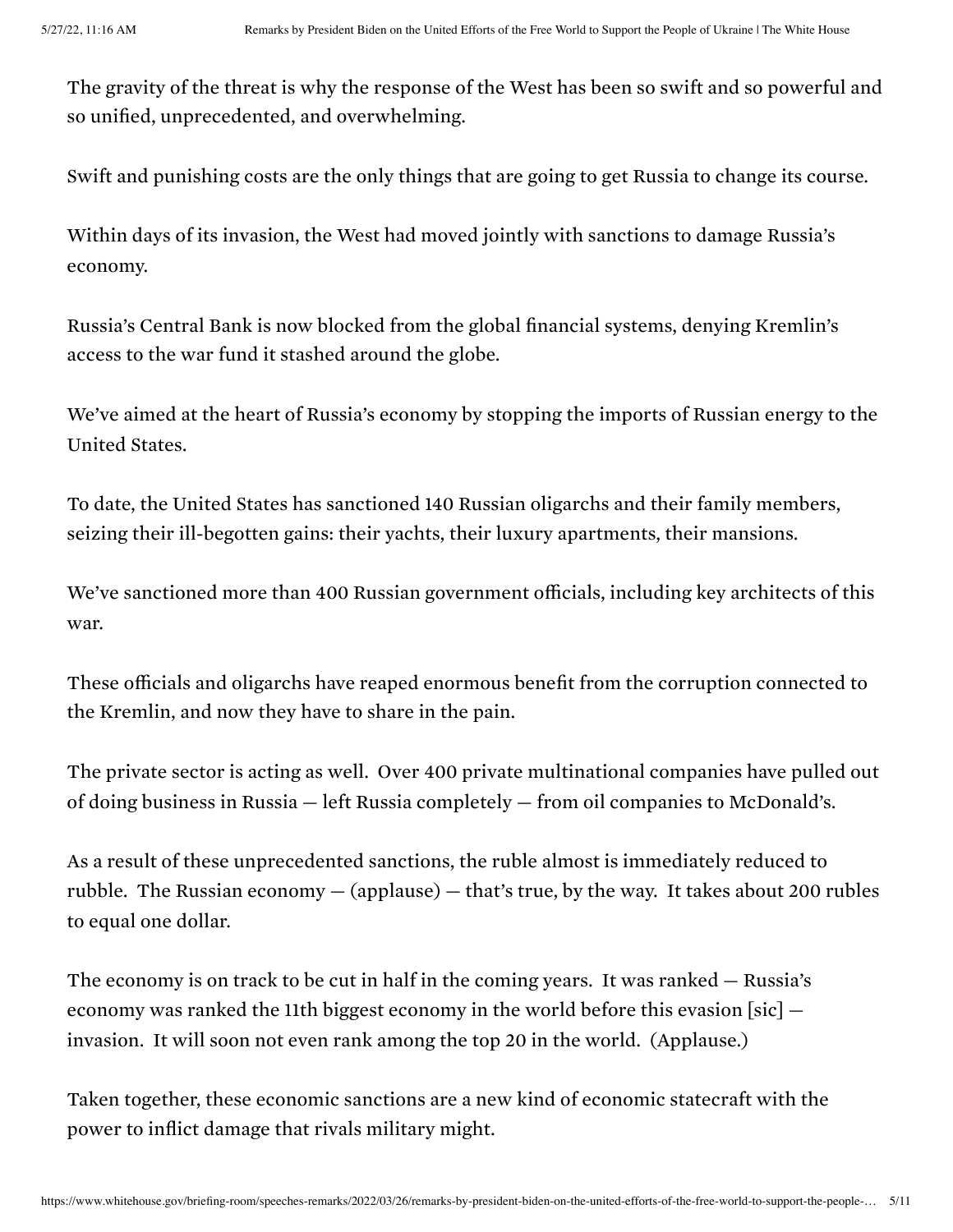The gravity of the threat is why the response of the West has been so swift and so powerful and so unified, unprecedented, and overwhelming.

Swift and punishing costs are the only things that are going to get Russia to change its course.

Within days of its invasion, the West had moved jointly with sanctions to damage Russia's economy.

Russia's Central Bank is now blocked from the global financial systems, denying Kremlin's access to the war fund it stashed around the globe.

We've aimed at the heart of Russia's economy by stopping the imports of Russian energy to the United States.

To date, the United States has sanctioned 140 Russian oligarchs and their family members, seizing their ill-begotten gains: their yachts, their luxury apartments, their mansions.

We've sanctioned more than 400 Russian government officials, including key architects of this war.

These officials and oligarchs have reaped enormous benefit from the corruption connected to the Kremlin, and now they have to share in the pain.

The private sector is acting as well. Over 400 private multinational companies have pulled out of doing business in Russia — left Russia completely — from oil companies to McDonald's.

As a result of these unprecedented sanctions, the ruble almost is immediately reduced to rubble. The Russian economy — (applause) — that's true, by the way. It takes about 200 rubles to equal one dollar.

The economy is on track to be cut in half in the coming years. It was ranked — Russia's economy was ranked the 11th biggest economy in the world before this evasion [sic] invasion. It will soon not even rank among the top 20 in the world. (Applause.)

Taken together, these economic sanctions are a new kind of economic statecraft with the power to inflict damage that rivals military might.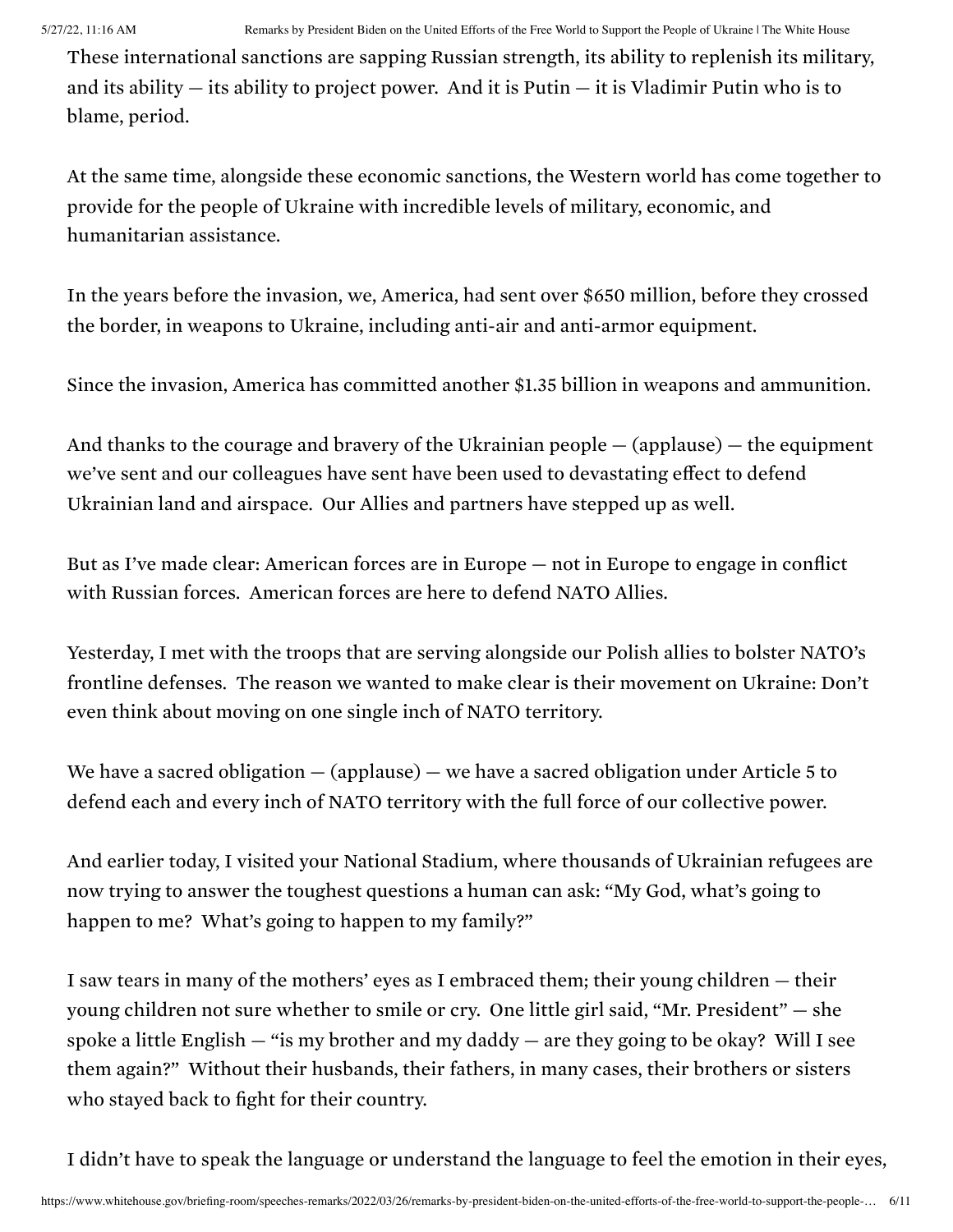These international sanctions are sapping Russian strength, its ability to replenish its military, and its ability — its ability to project power. And it is Putin — it is Vladimir Putin who is to blame, period.

At the same time, alongside these economic sanctions, the Western world has come together to provide for the people of Ukraine with incredible levels of military, economic, and humanitarian assistance.

In the years before the invasion, we, America, had sent over \$650 million, before they crossed the border, in weapons to Ukraine, including anti-air and anti-armor equipment.

Since the invasion, America has committed another \$1.35 billion in weapons and ammunition.

And thanks to the courage and bravery of the Ukrainian people  $-$  (applause)  $-$  the equipment we've sent and our colleagues have sent have been used to devastating effect to defend Ukrainian land and airspace. Our Allies and partners have stepped up as well.

But as I've made clear: American forces are in Europe — not in Europe to engage in conflict with Russian forces. American forces are here to defend NATO Allies.

Yesterday, I met with the troops that are serving alongside our Polish allies to bolster NATO's frontline defenses. The reason we wanted to make clear is their movement on Ukraine: Don't even think about moving on one single inch of NATO territory.

We have a sacred obligation  $-$  (applause)  $-$  we have a sacred obligation under Article 5 to defend each and every inch of NATO territory with the full force of our collective power.

And earlier today, I visited your National Stadium, where thousands of Ukrainian refugees are now trying to answer the toughest questions a human can ask: "My God, what's going to happen to me? What's going to happen to my family?"

I saw tears in many of the mothers' eyes as I embraced them; their young children — their young children not sure whether to smile or cry. One little girl said, "Mr. President" — she spoke a little English  $-$  "is my brother and my daddy  $-$  are they going to be okay? Will I see them again?" Without their husbands, their fathers, in many cases, their brothers or sisters who stayed back to fight for their country.

I didn't have to speak the language or understand the language to feel the emotion in their eyes,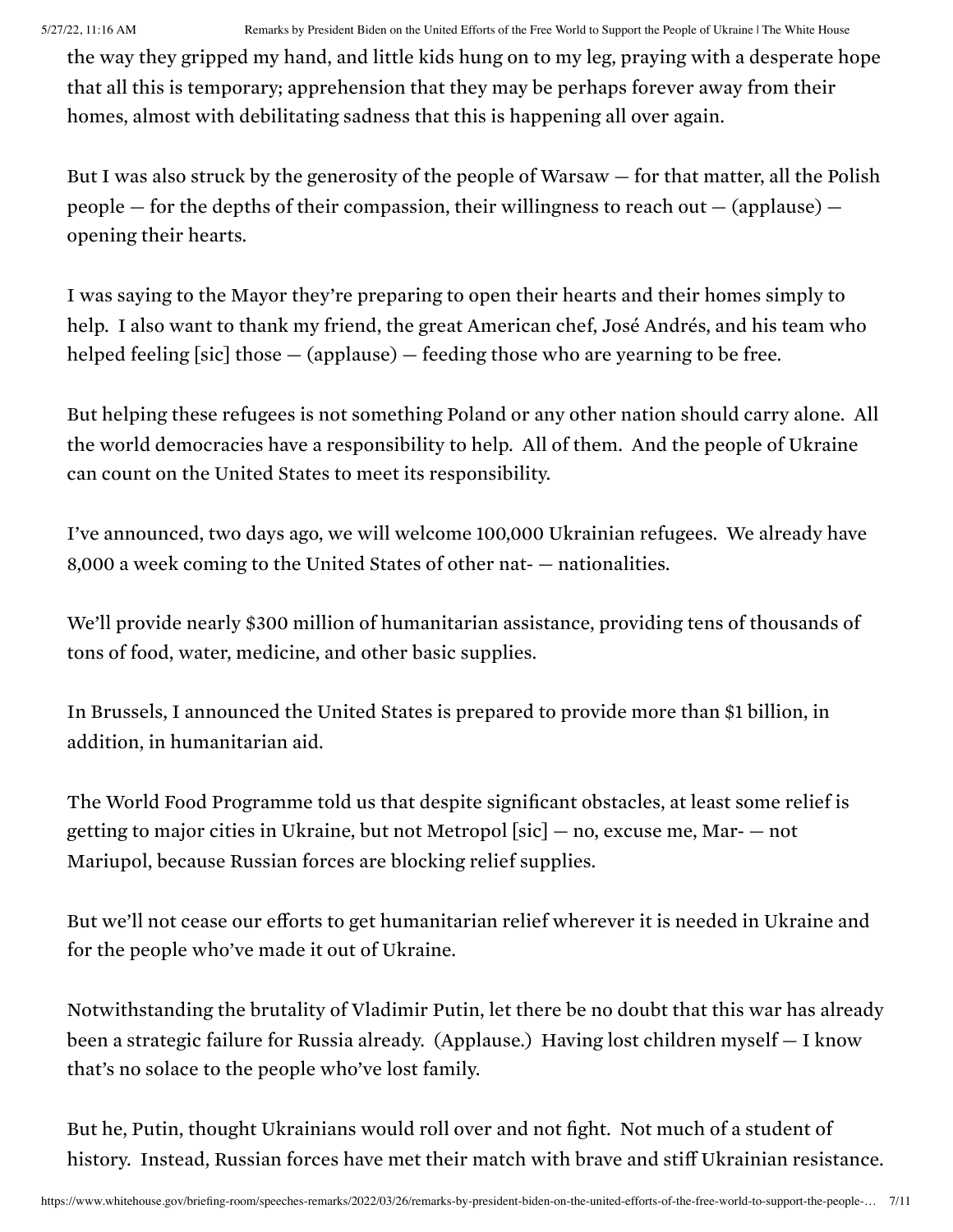5/27/22, 11:16 AM Remarks by President Biden on the United Efforts of the Free World to Support the People of Ukraine | The White House

the way they gripped my hand, and little kids hung on to my leg, praying with a desperate hope that all this is temporary; apprehension that they may be perhaps forever away from their homes, almost with debilitating sadness that this is happening all over again.

But I was also struck by the generosity of the people of Warsaw — for that matter, all the Polish people  $-$  for the depths of their compassion, their willingness to reach out  $-$  (applause)  $$ opening their hearts.

I was saying to the Mayor they're preparing to open their hearts and their homes simply to help. I also want to thank my friend, the great American chef, José Andrés, and his team who helped feeling [sic] those – (applause) – feeding those who are yearning to be free.

But helping these refugees is not something Poland or any other nation should carry alone. All the world democracies have a responsibility to help. All of them. And the people of Ukraine can count on the United States to meet its responsibility.

I've announced, two days ago, we will welcome 100,000 Ukrainian refugees. We already have 8,000 a week coming to the United States of other nat- — nationalities.

We'll provide nearly \$300 million of humanitarian assistance, providing tens of thousands of tons of food, water, medicine, and other basic supplies.

In Brussels, I announced the United States is prepared to provide more than \$1 billion, in addition, in humanitarian aid.

The World Food Programme told us that despite significant obstacles, at least some relief is getting to major cities in Ukraine, but not Metropol [sic] — no, excuse me, Mar- — not Mariupol, because Russian forces are blocking relief supplies.

But we'll not cease our efforts to get humanitarian relief wherever it is needed in Ukraine and for the people who've made it out of Ukraine.

Notwithstanding the brutality of Vladimir Putin, let there be no doubt that this war has already been a strategic failure for Russia already. (Applause.) Having lost children myself — I know that's no solace to the people who've lost family.

But he, Putin, thought Ukrainians would roll over and not fight. Not much of a student of history. Instead, Russian forces have met their match with brave and stiff Ukrainian resistance.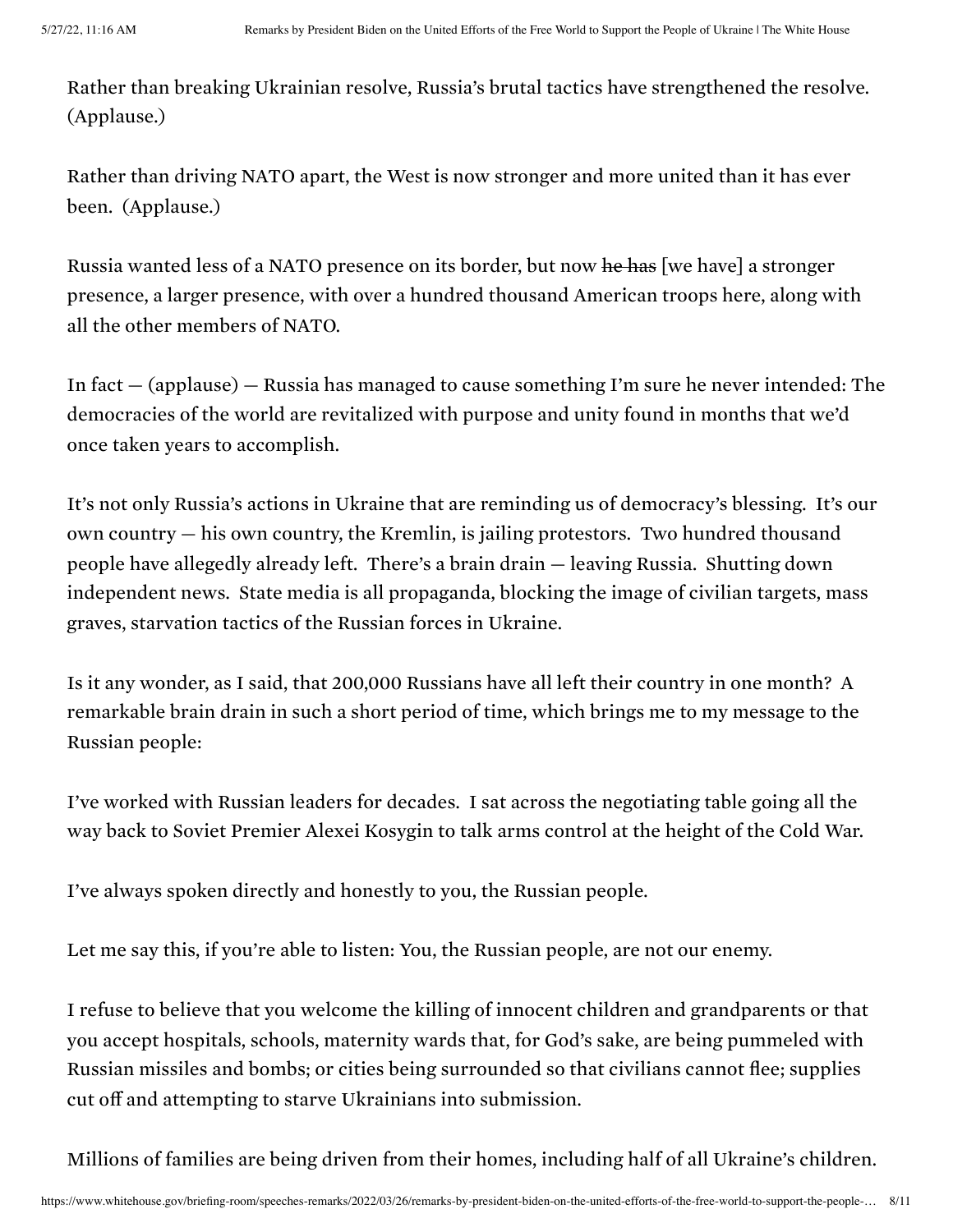Rather than breaking Ukrainian resolve, Russia's brutal tactics have strengthened the resolve. (Applause.)

Rather than driving NATO apart, the West is now stronger and more united than it has ever been. (Applause.)

Russia wanted less of a NATO presence on its border, but now he has [we have] a stronger presence, a larger presence, with over a hundred thousand American troops here, along with all the other members of NATO.

In fact — (applause) — Russia has managed to cause something I'm sure he never intended: The democracies of the world are revitalized with purpose and unity found in months that we'd once taken years to accomplish.

It's not only Russia's actions in Ukraine that are reminding us of democracy's blessing. It's our own country — his own country, the Kremlin, is jailing protestors. Two hundred thousand people have allegedly already left. There's a brain drain — leaving Russia. Shutting down independent news. State media is all propaganda, blocking the image of civilian targets, mass graves, starvation tactics of the Russian forces in Ukraine.

Is it any wonder, as I said, that 200,000 Russians have all left their country in one month? A remarkable brain drain in such a short period of time, which brings me to my message to the Russian people:

I've worked with Russian leaders for decades. I sat across the negotiating table going all the way back to Soviet Premier Alexei Kosygin to talk arms control at the height of the Cold War.

I've always spoken directly and honestly to you, the Russian people.

Let me say this, if you're able to listen: You, the Russian people, are not our enemy.

I refuse to believe that you welcome the killing of innocent children and grandparents or that you accept hospitals, schools, maternity wards that, for God's sake, are being pummeled with Russian missiles and bombs; or cities being surrounded so that civilians cannot flee; supplies cut off and attempting to starve Ukrainians into submission.

Millions of families are being driven from their homes, including half of all Ukraine's children.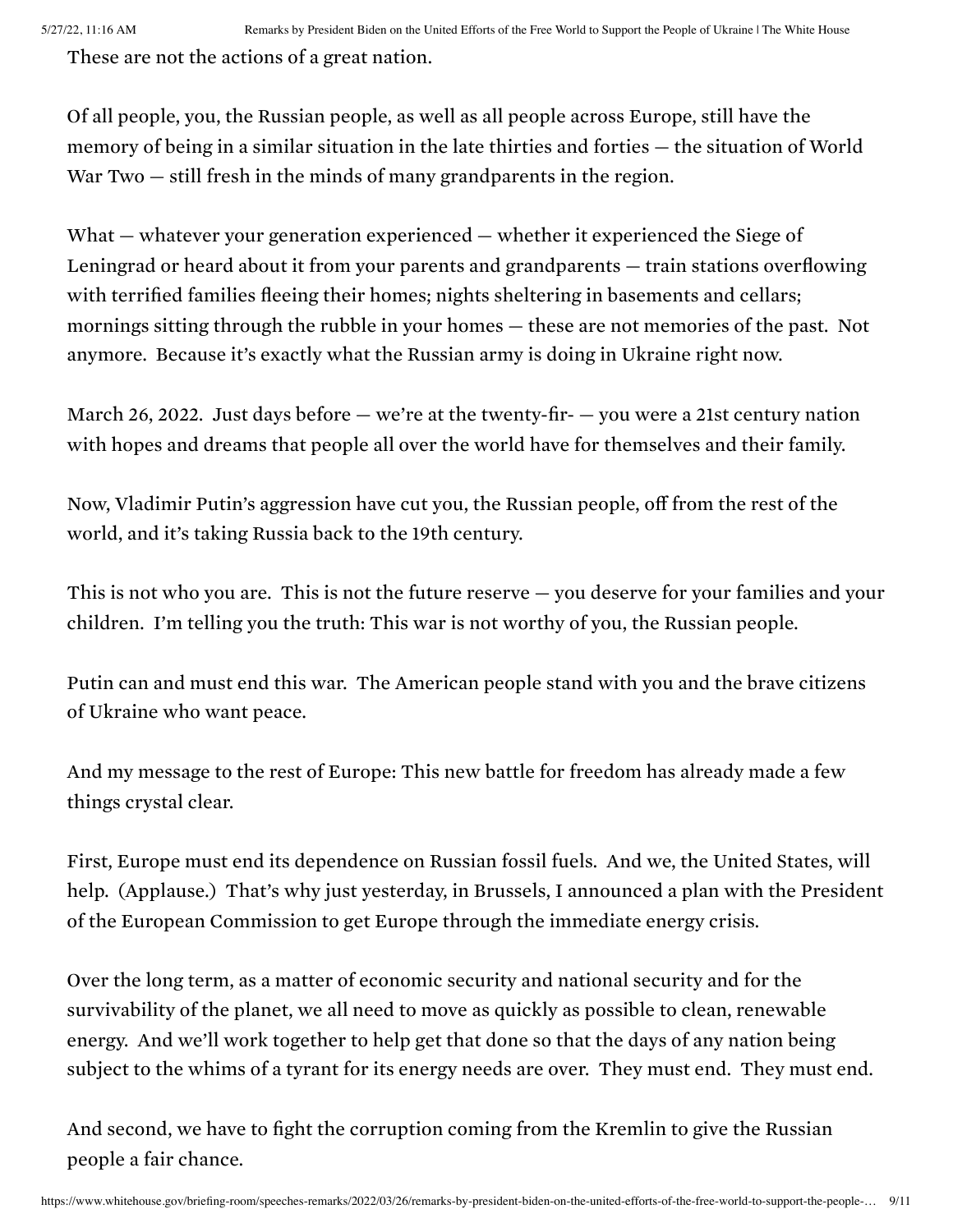These are not the actions of a great nation.

Of all people, you, the Russian people, as well as all people across Europe, still have the memory of being in a similar situation in the late thirties and forties — the situation of World War Two – still fresh in the minds of many grandparents in the region.

What — whatever your generation experienced — whether it experienced the Siege of Leningrad or heard about it from your parents and grandparents — train stations overflowing with terrified families fleeing their homes; nights sheltering in basements and cellars; mornings sitting through the rubble in your homes — these are not memories of the past. Not anymore. Because it's exactly what the Russian army is doing in Ukraine right now.

March 26, 2022. Just days before  $-$  we're at the twenty-fir-  $-$  you were a 21st century nation with hopes and dreams that people all over the world have for themselves and their family.

Now, Vladimir Putin's aggression have cut you, the Russian people, off from the rest of the world, and it's taking Russia back to the 19th century.

This is not who you are. This is not the future reserve — you deserve for your families and your children. I'm telling you the truth: This war is not worthy of you, the Russian people.

Putin can and must end this war. The American people stand with you and the brave citizens of Ukraine who want peace.

And my message to the rest of Europe: This new battle for freedom has already made a few things crystal clear.

First, Europe must end its dependence on Russian fossil fuels. And we, the United States, will help. (Applause.) That's why just yesterday, in Brussels, I announced a plan with the President of the European Commission to get Europe through the immediate energy crisis.

Over the long term, as a matter of economic security and national security and for the survivability of the planet, we all need to move as quickly as possible to clean, renewable energy. And we'll work together to help get that done so that the days of any nation being subject to the whims of a tyrant for its energy needs are over. They must end. They must end.

And second, we have to fight the corruption coming from the Kremlin to give the Russian people a fair chance.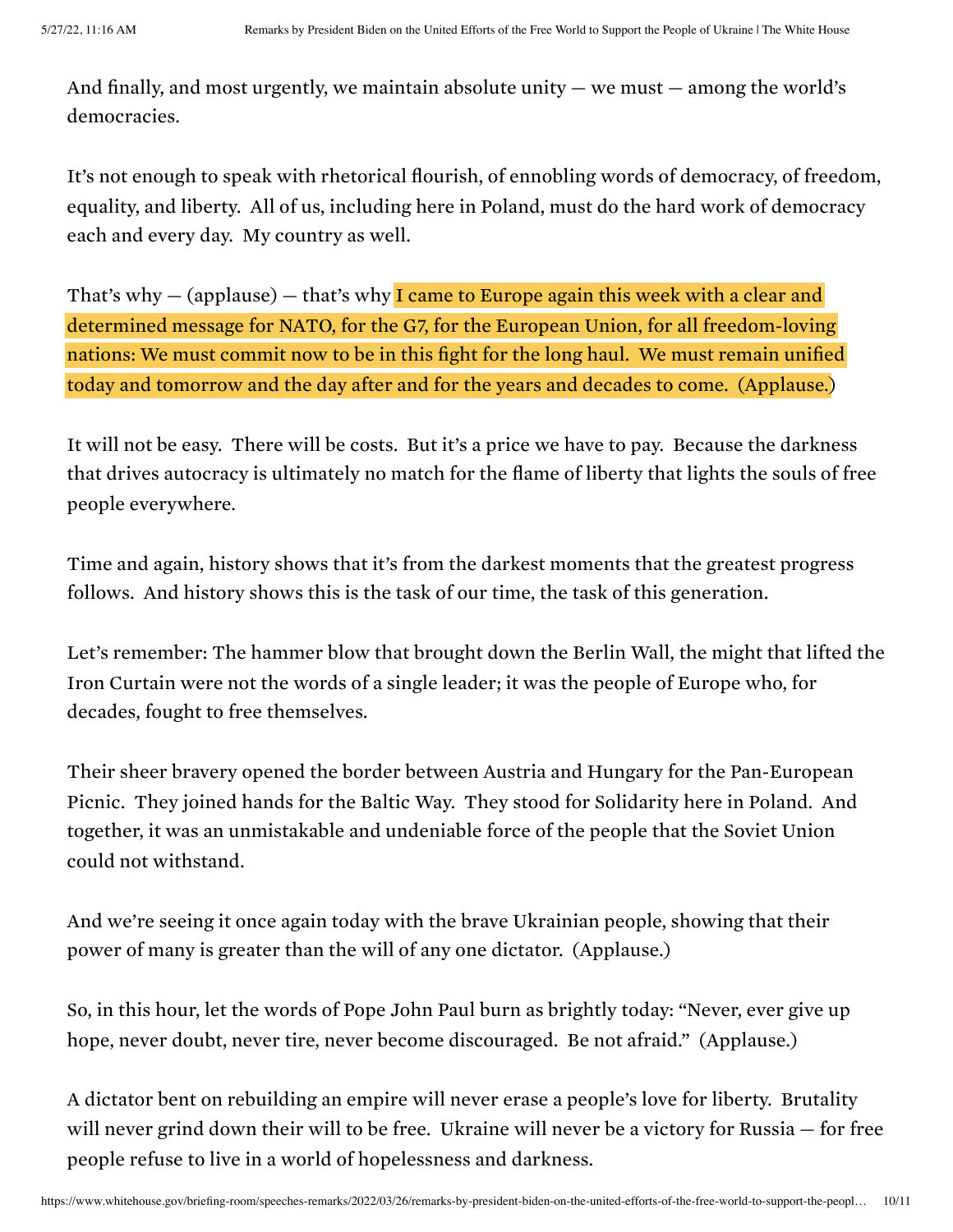And finally, and most urgently, we maintain absolute unity — we must — among the world's democracies.

It's not enough to speak with rhetorical flourish, of ennobling words of democracy, of freedom, equality, and liberty. All of us, including here in Poland, must do the hard work of democracy each and every day. My country as well.

That's why  $-$  (applause)  $-$  that's why I came to Europe again this week with a clear and determined message for NATO, for the G7, for the European Union, for all freedom-loving nations: We must commit now to be in this fight for the long haul. We must remain unified today and tomorrow and the day after and for the years and decades to come. (Applause.)

It will not be easy. There will be costs. But it's a price we have to pay. Because the darkness that drives autocracy is ultimately no match for the flame of liberty that lights the souls of free people everywhere.

Time and again, history shows that it's from the darkest moments that the greatest progress follows. And history shows this is the task of our time, the task of this generation.

Let's remember: The hammer blow that brought down the Berlin Wall, the might that lifted the Iron Curtain were not the words of a single leader; it was the people of Europe who, for decades, fought to free themselves.

Their sheer bravery opened the border between Austria and Hungary for the Pan-European Picnic. They joined hands for the Baltic Way. They stood for Solidarity here in Poland. And together, it was an unmistakable and undeniable force of the people that the Soviet Union could not withstand.

And we're seeing it once again today with the brave Ukrainian people, showing that their power of many is greater than the will of any one dictator. (Applause.)

So, in this hour, let the words of Pope John Paul burn as brightly today: "Never, ever give up hope, never doubt, never tire, never become discouraged. Be not afraid." (Applause.)

A dictator bent on rebuilding an empire will never erase a people's love for liberty. Brutality will never grind down their will to be free. Ukraine will never be a victory for Russia — for free people refuse to live in a world of hopelessness and darkness.